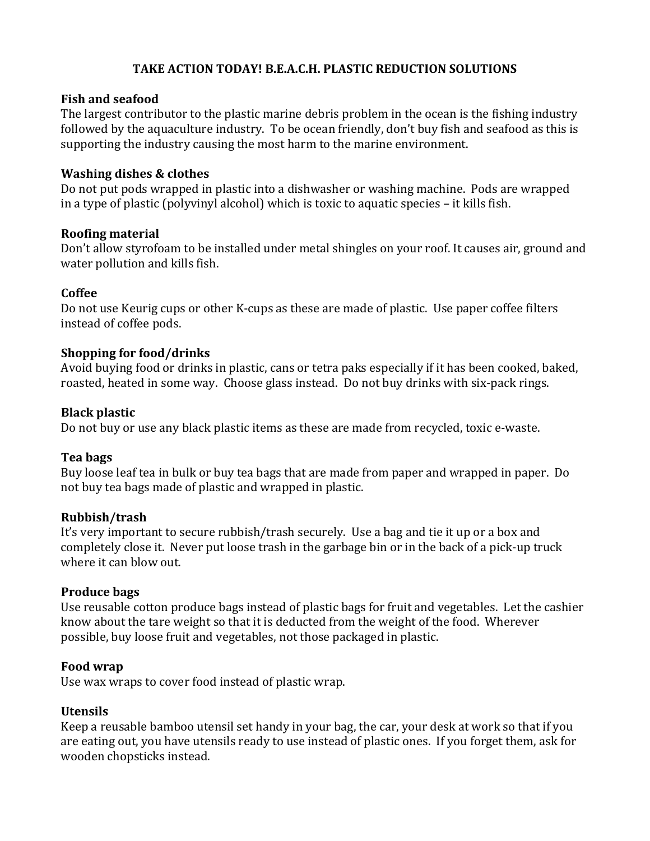### **TAKE ACTION TODAY! B.E.A.C.H. PLASTIC REDUCTION SOLUTIONS**

#### **Fish and seafood**

The largest contributor to the plastic marine debris problem in the ocean is the fishing industry followed by the aquaculture industry. To be ocean friendly, don't buy fish and seafood as this is supporting the industry causing the most harm to the marine environment.

#### **Washing dishes & clothes**

Do not put pods wrapped in plastic into a dishwasher or washing machine. Pods are wrapped in a type of plastic (polyvinyl alcohol) which is toxic to aquatic species  $-$  it kills fish.

#### **Roofing material**

Don't allow styrofoam to be installed under metal shingles on your roof. It causes air, ground and water pollution and kills fish.

#### **Coffee**

Do not use Keurig cups or other K-cups as these are made of plastic. Use paper coffee filters instead of coffee pods.

#### **Shopping for food/drinks**

Avoid buying food or drinks in plastic, cans or tetra paks especially if it has been cooked, baked, roasted, heated in some way. Choose glass instead. Do not buy drinks with six-pack rings.

#### **Black plastic**

Do not buy or use any black plastic items as these are made from recycled, toxic e-waste.

### **Tea bags**

Buy loose leaf tea in bulk or buy tea bags that are made from paper and wrapped in paper. Do not buy tea bags made of plastic and wrapped in plastic.

### **Rubbish/trash**

It's very important to secure rubbish/trash securely. Use a bag and tie it up or a box and completely close it. Never put loose trash in the garbage bin or in the back of a pick-up truck where it can blow out.

### **Produce bags**

Use reusable cotton produce bags instead of plastic bags for fruit and vegetables. Let the cashier know about the tare weight so that it is deducted from the weight of the food. Wherever possible, buy loose fruit and vegetables, not those packaged in plastic.

#### **Food wrap**

Use wax wraps to cover food instead of plastic wrap.

### **Utensils**

Keep a reusable bamboo utensil set handy in your bag, the car, your desk at work so that if you are eating out, you have utensils ready to use instead of plastic ones. If you forget them, ask for wooden chopsticks instead.